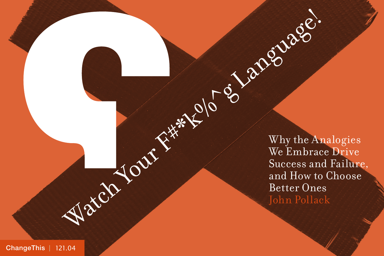Watch Your F<sup>\*\*</sup> Clo Content Why the Angle Content Content Content Content Content Content Content Content Content Content Content Content Content Content Content Content Content Content Content Content Content Content Con Why the Analogies We Embrace Drive Success and Failure, and How to Choose Better Ones John Pollack

[ChangeThis](http://changethis.com) | 121.04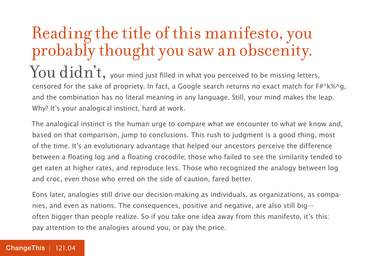# Reading the title of this manifesto, you probably thought you saw an obscenity.

 $\operatorname{You}\operatorname{did}\operatorname{n'\!t}$ , your mind just filled in what you perceived to be missing letters, censored for the sake of propriety. In fact, a Google search returns no exact match for  $F#^*k\%$  q, and the combination has no literal meaning in any language. Still, your mind makes the leap. Why? It's your analogical instinct, hard at work.

The analogical instinct is the human urge to compare what we encounter to what we know and, based on that comparison, jump to conclusions. This rush to judgment is a good thing, most of the time. It's an evolutionary advantage that helped our ancestors perceive the difference between a floating log and a floating crocodile; those who failed to see the similarity tended to get eaten at higher rates, and reproduce less. Those who recognized the analogy between log and croc, even those who erred on the side of caution, fared better.

Eons later, analogies still drive our decision-making as individuals, as organizations, as companies, and even as nations. The consequences, positive and negative, are also still big often bigger than people realize. So if you take one idea away from this manifesto, it's this: pay attention to the analogies around you, or pay the price.

#### [ChangeThis](http://changethis.com) | 121.04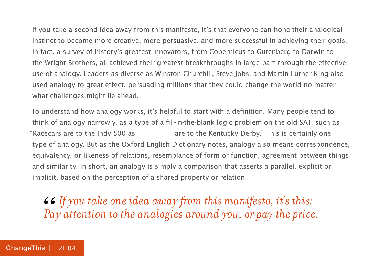If you take a second idea away from this manifesto, it's that everyone can hone their analogical instinct to become more creative, more persuasive, and more successful in achieving their goals. In fact, a survey of history's greatest innovators, from Copernicus to Gutenberg to Darwin to the Wright Brothers, all achieved their greatest breakthroughs in large part through the effective use of analogy. Leaders as diverse as Winston Churchill, Steve Jobs, and Martin Luther King also used analogy to great effect, persuading millions that they could change the world no matter what challenges might lie ahead.

To understand how analogy works, it's helpful to start with a definition. Many people tend to think of analogy narrowly, as a type of a fill-in-the-blank logic problem on the old SAT, such as "Racecars are to the Indy 500 as \_\_\_\_\_\_\_\_ \_\_\_\_\_\_ are to the Kentucky Derby." This is certainly one type of analogy. But as the Oxford English Dictionary notes, analogy also means correspondence, equivalency, or likeness of relations, resemblance of form or function, agreement between things and similarity. In short, an analogy is simply a comparison that asserts a parallel, explicit or implicit, based on the perception of a shared property or relation.

*If you take one idea away from this manifesto, it's this:*  66<br>Pa *Pay attention to the analogies around you, or pay the price.*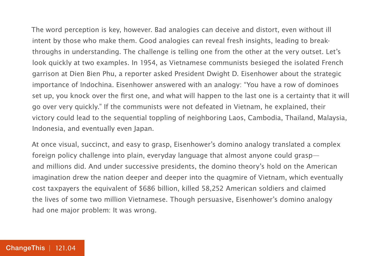The word perception is key, however. Bad analogies can deceive and distort, even without ill intent by those who make them. Good analogies can reveal fresh insights, leading to breakthroughs in understanding. The challenge is telling one from the other at the very outset. Let's look quickly at two examples. In 1954, as Vietnamese communists besieged the isolated French garrison at Dien Bien Phu, a reporter asked President Dwight D. Eisenhower about the strategic importance of Indochina. Eisenhower answered with an analogy: "You have a row of dominoes set up, you knock over the first one, and what will happen to the last one is a certainty that it will go over very quickly." If the communists were not defeated in Vietnam, he explained, their victory could lead to the sequential toppling of neighboring Laos, Cambodia, Thailand, Malaysia, Indonesia, and eventually even Japan.

At once visual, succinct, and easy to grasp, Eisenhower's domino analogy translated a complex foreign policy challenge into plain, everyday language that almost anyone could grasp and millions did. And under successive presidents, the domino theory's hold on the American imagination drew the nation deeper and deeper into the quagmire of Vietnam, which eventually cost taxpayers the equivalent of \$686 billion, killed 58,252 American soldiers and claimed the lives of some two million Vietnamese. Though persuasive, Eisenhower's domino analogy had one major problem: It was wrong.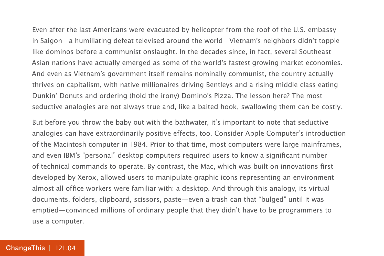Even after the last Americans were evacuated by helicopter from the roof of the U.S. embassy in Saigon—a humiliating defeat televised around the world—Vietnam's neighbors didn't topple like dominos before a communist onslaught. In the decades since, in fact, several Southeast Asian nations have actually emerged as some of the world's fastest-growing market economies. And even as Vietnam's government itself remains nominally communist, the country actually thrives on capitalism, with native millionaires driving Bentleys and a rising middle class eating Dunkin' Donuts and ordering (hold the irony) Domino's Pizza. The lesson here? The most seductive analogies are not always true and, like a baited hook, swallowing them can be costly.

But before you throw the baby out with the bathwater, it's important to note that seductive analogies can have extraordinarily positive effects, too. Consider Apple Computer's introduction of the Macintosh computer in 1984. Prior to that time, most computers were large mainframes, and even IBM's "personal" desktop computers required users to know a significant number of technical commands to operate. By contrast, the Mac, which was built on innovations first developed by Xerox, allowed users to manipulate graphic icons representing an environment almost all office workers were familiar with: a desktop. And through this analogy, its virtual documents, folders, clipboard, scissors, paste—even a trash can that "bulged" until it was emptied—convinced millions of ordinary people that they didn't have to be programmers to use a computer.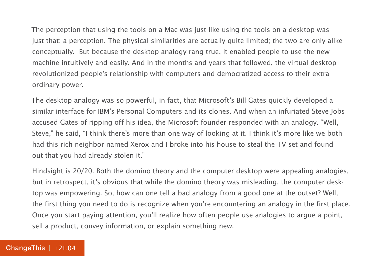The perception that using the tools on a Mac was just like using the tools on a desktop was just that: a perception. The physical similarities are actually quite limited; the two are only alike conceptually. But because the desktop analogy rang true, it enabled people to use the new machine intuitively and easily. And in the months and years that followed, the virtual desktop revolutionized people's relationship with computers and democratized access to their extraordinary power.

The desktop analogy was so powerful, in fact, that Microsoft's Bill Gates quickly developed a similar interface for IBM's Personal Computers and its clones. And when an infuriated Steve Jobs accused Gates of ripping off his idea, the Microsoft founder responded with an analogy. "Well, Steve," he said, "I think there's more than one way of looking at it. I think it's more like we both had this rich neighbor named Xerox and I broke into his house to steal the TV set and found out that you had already stolen it."

Hindsight is 20/20. Both the domino theory and the computer desktop were appealing analogies, but in retrospect, it's obvious that while the domino theory was misleading, the computer desktop was empowering. So, how can one tell a bad analogy from a good one at the outset? Well, the first thing you need to do is recognize when you're encountering an analogy in the first place. Once you start paying attention, you'll realize how often people use analogies to argue a point, sell a product, convey information, or explain something new.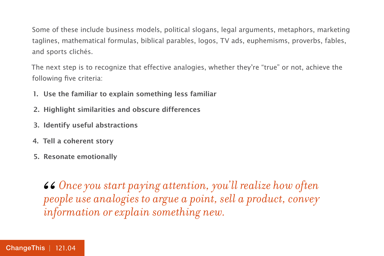Some of these include business models, political slogans, legal arguments, metaphors, marketing taglines, mathematical formulas, biblical parables, logos, TV ads, euphemisms, proverbs, fables, and sports clichés.

The next step is to recognize that effective analogies, whether they're "true" or not, achieve the following five criteria:

- **1. Use the familiar to explain something less familiar**
- **2. Highlight similarities and obscure differences**
- **3. Identify useful abstractions**
- **4. Tell a coherent story**
- **5. Resonate emotionally**

*Once you start paying attention, you'll realize how often people use analogies to argue a point, sell a product, convey information or explain something new.*  66<br>*per*<br>*in*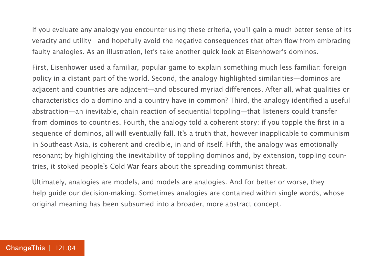If you evaluate any analogy you encounter using these criteria, you'll gain a much better sense of its veracity and utility—and hopefully avoid the negative consequences that often flow from embracing faulty analogies. As an illustration, let's take another quick look at Eisenhower's dominos.

First, Eisenhower used a familiar, popular game to explain something much less familiar: foreign policy in a distant part of the world. Second, the analogy highlighted similarities—dominos are adjacent and countries are adjacent—and obscured myriad differences. After all, what qualities or characteristics do a domino and a country have in common? Third, the analogy identified a useful abstraction—an inevitable, chain reaction of sequential toppling—that listeners could transfer from dominos to countries. Fourth, the analogy told a coherent story: if you topple the first in a sequence of dominos, all will eventually fall. It's a truth that, however inapplicable to communism in Southeast Asia, is coherent and credible, in and of itself. Fifth, the analogy was emotionally resonant; by highlighting the inevitability of toppling dominos and, by extension, toppling countries, it stoked people's Cold War fears about the spreading communist threat.

Ultimately, analogies are models, and models are analogies. And for better or worse, they help guide our decision-making. Sometimes analogies are contained within single words, whose original meaning has been subsumed into a broader, more abstract concept.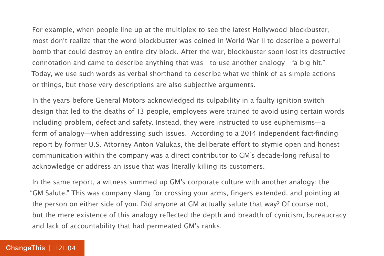For example, when people line up at the multiplex to see the latest Hollywood blockbuster, most don't realize that the word blockbuster was coined in World War II to describe a powerful bomb that could destroy an entire city block. After the war, blockbuster soon lost its destructive connotation and came to describe anything that was—to use another analogy—"a big hit." Today, we use such words as verbal shorthand to describe what we think of as simple actions or things, but those very descriptions are also subjective arguments.

In the years before General Motors acknowledged its culpability in a faulty ignition switch design that led to the deaths of 13 people, employees were trained to avoid using certain words including problem, defect and safety. Instead, they were instructed to use euphemisms—a form of analogy—when addressing such issues. According to a 2014 independent fact-finding report by former U.S. Attorney Anton Valukas, the deliberate effort to stymie open and honest communication within the company was a direct contributor to GM's decade-long refusal to acknowledge or address an issue that was literally killing its customers.

In the same report, a witness summed up GM's corporate culture with another analogy: the "GM Salute." This was company slang for crossing your arms, fingers extended, and pointing at the person on either side of you. Did anyone at GM actually salute that way? Of course not, but the mere existence of this analogy reflected the depth and breadth of cynicism, bureaucracy and lack of accountability that had permeated GM's ranks.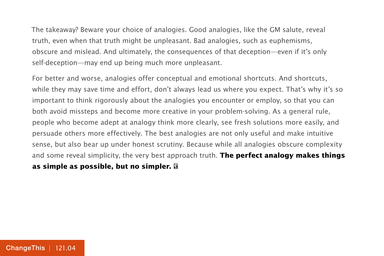The takeaway? Beware your choice of analogies. Good analogies, like the GM salute, reveal truth, even when that truth might be unpleasant. Bad analogies, such as euphemisms, obscure and mislead. And ultimately, the consequences of that deception—even if it's only self-deception—may end up being much more unpleasant.

For better and worse, analogies offer conceptual and emotional shortcuts. And shortcuts, while they may save time and effort, don't always lead us where you expect. That's why it's so important to think rigorously about the analogies you encounter or employ, so that you can both avoid missteps and become more creative in your problem-solving. As a general rule, people who become adept at analogy think more clearly, see fresh solutions more easily, and persuade others more effectively. The best analogies are not only useful and make intuitive sense, but also bear up under honest scrutiny. Because while all analogies obscure complexity and some reveal simplicity, the very best approach truth. **The perfect analogy makes things** 

#### **as simple as possible, but no simpler.**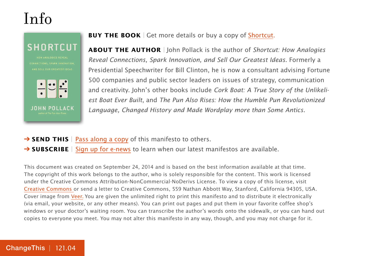### Info

**SHORTCUT** 



**BUY THE BOOK** | Get more details or buy a copy of [Shortcut.](http://800ceoread.com/products/shortcut-john_pollack-english?selected=38741)

**ABOUT THE AUTHOR** | John Pollack is the author of Shortcut: How Analogies Reveal Connections, Spark Innovation, and Sell Our Greatest Ideas. Formerly a Presidential Speechwriter for Bill Clinton, he is now a consultant advising Fortune 500 companies and public sector leaders on issues of strategy, communication and creativity. John's other books include Cork Boat: A True Story of the Unlikeliest Boat Ever Built, and The Pun Also Rises: How the Humble Pun Revolutionized Language, Changed History and Made Wordplay more than Some Antics.

→ **SEND THIS** | [Pass along a copy](http://www.changethis.com/121.04.Shortcuts/email) of this manifesto to others.

**→ SUBSCRIBE** | Sign up fo[r e-news](http://changethis.com/page/show/e_mail_newsletter) to learn when our latest manifestos are available.

This document was created on September 24, 2014 and is based on the best information available at that time. The copyright of this work belongs to the author, who is solely responsible for the content. This work is licensed under the Creative Commons Attribution-NonCommercial-NoDerivs License. To view a copy of this license, visit [Creative Commons](http://creativecommons.org/licenses/by-nc-nd/2.0/) or send a letter to Creative Commons, 559 Nathan Abbott Way, Stanford, California 94305, USA. Cover image from [Veer.](http://www.veer.com/) You are given the unlimited right to print this manifesto and to distribute it electronically (via email, your website, or any other means). You can print out pages and put them in your favorite coffee shop's windows or your doctor's waiting room. You can transcribe the author's words onto the sidewalk, or you can hand out copies to everyone you meet. You may not alter this manifesto in any way, though, and you may not charge for it.